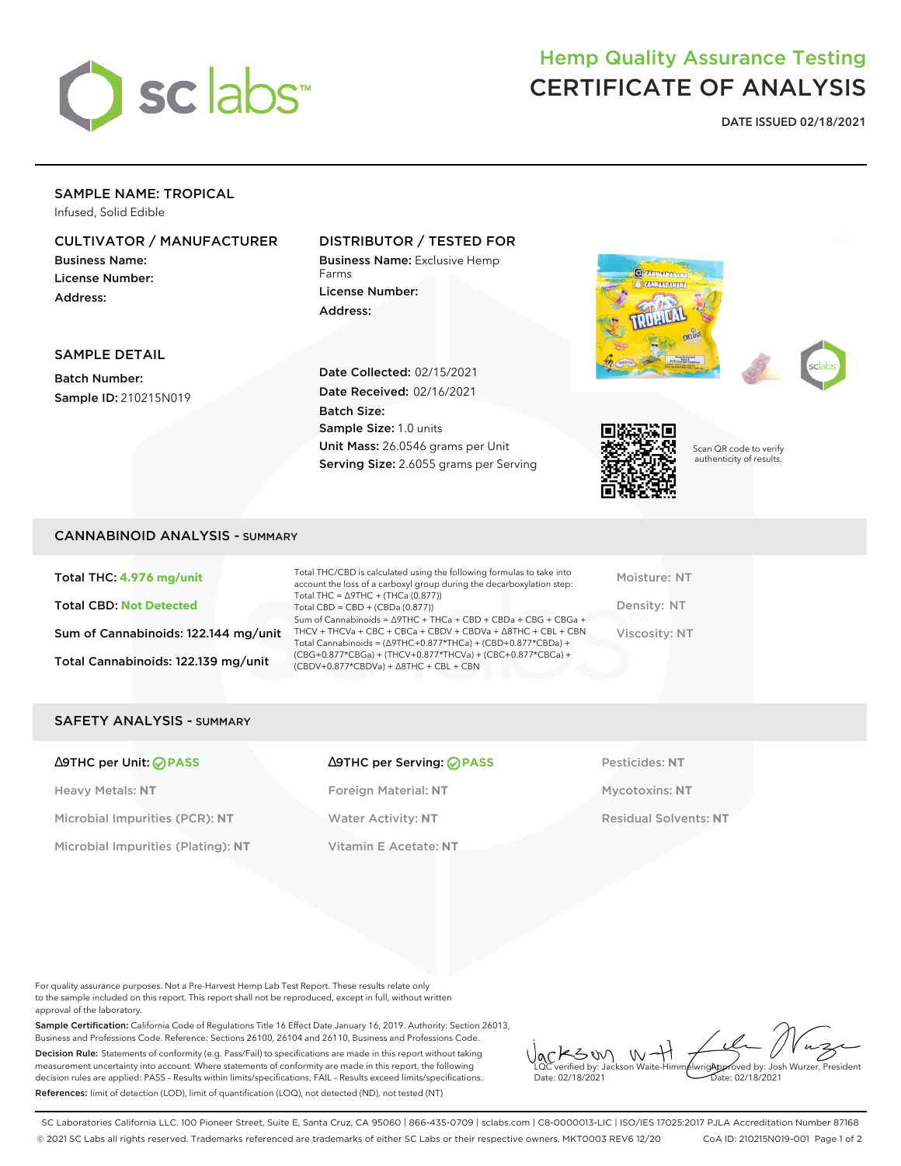

## Hemp Quality Assurance Testing CERTIFICATE OF ANALYSIS

**DATE ISSUED 02/18/2021**

## SAMPLE NAME: TROPICAL

Infused, Solid Edible

### CULTIVATOR / MANUFACTURER

Business Name: License Number: Address:

#### DISTRIBUTOR / TESTED FOR

Business Name: Exclusive Hemp Farms License Number: Address:





SAMPLE DETAIL

Batch Number: Sample ID: 210215N019 Date Collected: 02/15/2021 Date Received: 02/16/2021 Batch Size: Sample Size: 1.0 units Unit Mass: 26.0546 grams per Unit Serving Size: 2.6055 grams per Serving



Scan QR code to verify authenticity of results.

#### CANNABINOID ANALYSIS - SUMMARY

Total THC: **4.976 mg/unit** Total CBD: **Not Detected** Sum of Cannabinoids: 122.144 mg/unit Total Cannabinoids: 122.139 mg/unit

Total THC/CBD is calculated using the following formulas to take into account the loss of a carboxyl group during the decarboxylation step: Total THC = ∆9THC + (THCa (0.877)) Total CBD = CBD + (CBDa (0.877)) Sum of Cannabinoids = ∆9THC + THCa + CBD + CBDa + CBG + CBGa + THCV + THCVa + CBC + CBCa + CBDV + CBDVa + ∆8THC + CBL + CBN Total Cannabinoids = (∆9THC+0.877\*THCa) + (CBD+0.877\*CBDa) + (CBG+0.877\*CBGa) + (THCV+0.877\*THCVa) + (CBC+0.877\*CBCa) + (CBDV+0.877\*CBDVa) + ∆8THC + CBL + CBN

Moisture: NT Density: NT Viscosity: NT

#### SAFETY ANALYSIS - SUMMARY

| ∆9THC per Unit: ⊘PASS |  |  |  |  |
|-----------------------|--|--|--|--|
|-----------------------|--|--|--|--|

Heavy Metals: **NT** Foreign Material: **NT** Mycotoxins: **NT** Microbial Impurities (PCR): **NT** Water Activity: **NT** Residual Solvents: **NT** Microbial Impurities (Plating): **NT** Vitamin E Acetate: **NT**

# ∆9THC per Unit: **PASS** ∆9THC per Serving: **PASS** Pesticides: **NT**

For quality assurance purposes. Not a Pre-Harvest Hemp Lab Test Report. These results relate only to the sample included on this report. This report shall not be reproduced, except in full, without written approval of the laboratory.

Sample Certification: California Code of Regulations Title 16 Effect Date January 16, 2019. Authority: Section 26013, Business and Professions Code. Reference: Sections 26100, 26104 and 26110, Business and Professions Code. Decision Rule: Statements of conformity (e.g. Pass/Fail) to specifications are made in this report without taking measurement uncertainty into account. Where statements of conformity are made in this report, the following decision rules are applied: PASS – Results within limits/specifications, FAIL – Results exceed limits/specifications. References: limit of detection (LOD), limit of quantification (LOQ), not detected (ND), not tested (NT)

 $W + 1$ KSW Approved by: Josh Wurzer, President LQC verified by: Jackson Waite-Himmelwright Date: 02/18/2021 Date: 02/18/2021

SC Laboratories California LLC. 100 Pioneer Street, Suite E, Santa Cruz, CA 95060 | 866-435-0709 | sclabs.com | C8-0000013-LIC | ISO/IES 17025:2017 PJLA Accreditation Number 87168 © 2021 SC Labs all rights reserved. Trademarks referenced are trademarks of either SC Labs or their respective owners. MKT0003 REV6 12/20 CoA ID: 210215N019-001 Page 1 of 2